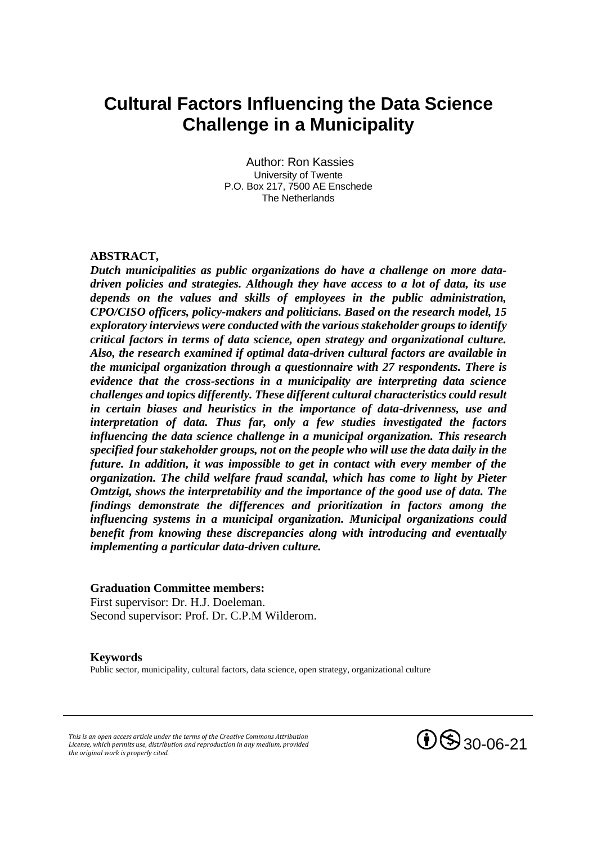# **Cultural Factors Influencing the Data Science Challenge in a Municipality**

Author: Ron Kassies University of Twente P.O. Box 217, 7500 AE Enschede The Netherlands

## **ABSTRACT,**

*Dutch municipalities as public organizations do have a challenge on more datadriven policies and strategies. Although they have access to a lot of data, its use depends on the values and skills of employees in the public administration, CPO/CISO officers, policy-makers and politicians. Based on the research model, 15 exploratory interviews were conducted with the various stakeholder groups to identify critical factors in terms of data science, open strategy and organizational culture. Also, the research examined if optimal data-driven cultural factors are available in the municipal organization through a questionnaire with 27 respondents. There is evidence that the cross-sections in a municipality are interpreting data science challenges and topics differently. These different cultural characteristics could result in certain biases and heuristics in the importance of data-drivenness, use and interpretation of data. Thus far, only a few studies investigated the factors influencing the data science challenge in a municipal organization. This research specified four stakeholder groups, not on the people who will use the data daily in the future. In addition, it was impossible to get in contact with every member of the organization. The child welfare fraud scandal, which has come to light by Pieter Omtzigt, shows the interpretability and the importance of the good use of data. The findings demonstrate the differences and prioritization in factors among the influencing systems in a municipal organization. Municipal organizations could benefit from knowing these discrepancies along with introducing and eventually implementing a particular data-driven culture.* 

### **Graduation Committee members:**

First supervisor: Dr. H.J. Doeleman. Second supervisor: Prof. Dr. C.P.M Wilderom.

### **Keywords**

Public sector, municipality, cultural factors, data science, open strategy, organizational culture

*This is an open access article under the terms of the Creative Commons Attribution License, which permits use, distribution and reproduction in any medium, provided the original work is properly cited.*

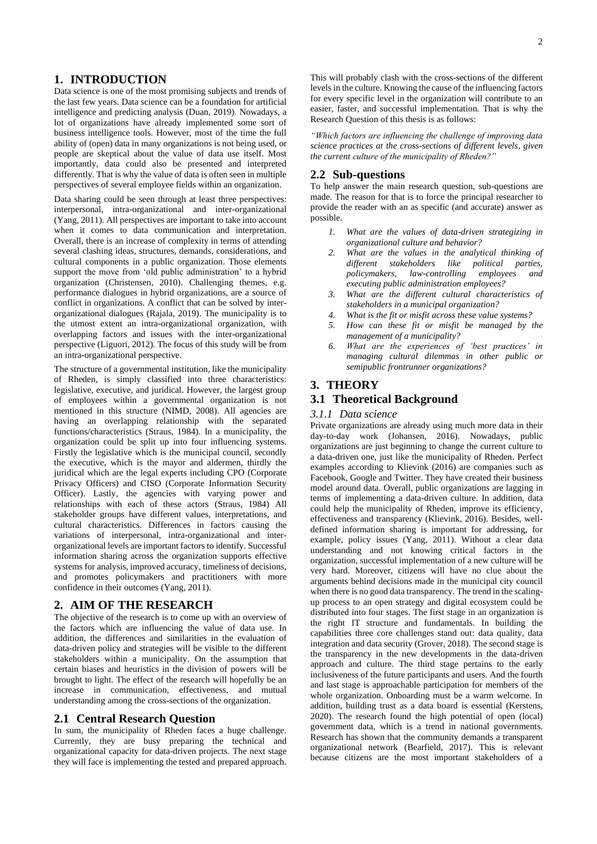## **1. INTRODUCTION**

Data science is one of the most promising subjects and trends of the last few years. Data science can be a foundation for artificial intelligence and predicting analysis (Duan, 2019). Nowadays, a lot of organizations have already implemented some sort of business intelligence tools. However, most of the time the full ability of (open) data in many organizations is not being used, or people are skeptical about the value of data use itself. Most importantly, data could also be presented and interpreted differently. That is why the value of data is often seen in multiple perspectives of several employee fields within an organization.

Data sharing could be seen through at least three perspectives: interpersonal, intra-organizational and inter-organizational (Yang, 2011). All perspectives are important to take into account when it comes to data communication and interpretation. Overall, there is an increase of complexity in terms of attending several clashing ideas, structures, demands, considerations, and cultural components in a public organization. Those elements support the move from 'old public administration' to a hybrid organization (Christensen, 2010). Challenging themes, e.g. performance dialogues in hybrid organizations, are a source of conflict in organizations. A conflict that can be solved by interorganizational dialogues (Rajala, 2019). The municipality is to the utmost extent an intra-organizational organization, with overlapping factors and issues with the inter-organizational perspective (Liguori, 2012). The focus of this study will be from an intra-organizational perspective.

The structure of a governmental institution, like the municipality of Rheden, is simply classified into three characteristics: legislative, executive, and juridical. However, the largest group of employees within a governmental organization is not mentioned in this structure (NIMD, 2008). All agencies are having an overlapping relationship with the separated functions/characteristics (Straus, 1984). In a municipality, the organization could be split up into four influencing systems. Firstly the legislative which is the municipal council, secondly the executive, which is the mayor and aldermen, thirdly the juridical which are the legal experts including CPO (Corporate Privacy Officers) and CISO (Corporate Information Security Officer). Lastly, the agencies with varying power and relationships with each of these actors (Straus, 1984) All stakeholder groups have different values, interpretations, and cultural characteristics. Differences in factors causing the variations of interpersonal, intra-organizational and interorganizational levels are important factors to identify. Successful information sharing across the organization supports effective systems for analysis, improved accuracy, timeliness of decisions, and promotes policymakers and practitioners with more confidence in their outcomes (Yang, 2011).

## **2. AIM OF THE RESEARCH**

The objective of the research is to come up with an overview of the factors which are influencing the value of data use. In addition, the differences and similarities in the evaluation of data-driven policy and strategies will be visible to the different stakeholders within a municipality. On the assumption that certain biases and heuristics in the division of powers will be brought to light. The effect of the research will hopefully be an increase in communication, effectiveness, and mutual understanding among the cross-sections of the organization.

### **2.1 Central Research Question**

In sum, the municipality of Rheden faces a huge challenge. Currently, they are busy preparing the technical and organizational capacity for data-driven projects. The next stage they will face is implementing the tested and prepared approach.

This will probably clash with the cross-sections of the different levels in the culture. Knowing the cause of the influencing factors for every specific level in the organization will contribute to an easier, faster, and successful implementation. That is why the Research Question of this thesis is as follows:

*"Which factors are influencing the challenge of improving data science practices at the cross-sections of different levels, given the current culture of the municipality of Rheden?"*

### **2.2 Sub-questions**

To help answer the main research question, sub-questions are made. The reason for that is to force the principal researcher to provide the reader with an as specific (and accurate) answer as possible.

- *1. What are the values of data-driven strategizing in organizational culture and behavior?*
- *2. What are the values in the analytical thinking of different stakeholders like political parties, policymakers, law-controlling employees and executing public administration employees?*
- *3. What are the different cultural characteristics of stakeholders in a municipal organization?*
- *4. What is the fit or misfit across these value systems?*
- *5. How can these fit or misfit be managed by the management of a municipality?*
- *6. What are the experiences of 'best practices' in managing cultural dilemmas in other public or semipublic frontrunner organizations?*

### **3. THEORY**

### **3.1 Theoretical Background**

#### *3.1.1 Data science*

Private organizations are already using much more data in their day-to-day work (Johansen, 2016). Nowadays, public organizations are just beginning to change the current culture to a data-driven one, just like the municipality of Rheden. Perfect examples according to Klievink (2016) are companies such as Facebook, Google and Twitter. They have created their business model around data. Overall, public organizations are lagging in terms of implementing a data-driven culture. In addition, data could help the municipality of Rheden, improve its efficiency, effectiveness and transparency (Klievink, 2016). Besides, welldefined information sharing is important for addressing, for example, policy issues (Yang, 2011). Without a clear data understanding and not knowing critical factors in the organization, successful implementation of a new culture will be very hard. Moreover, citizens will have no clue about the arguments behind decisions made in the municipal city council when there is no good data transparency. The trend in the scalingup process to an open strategy and digital ecosystem could be distributed into four stages. The first stage in an organization is the right IT structure and fundamentals. In building the capabilities three core challenges stand out: data quality, data integration and data security (Grover, 2018). The second stage is the transparency in the new developments in the data-driven approach and culture. The third stage pertains to the early inclusiveness of the future participants and users. And the fourth and last stage is approachable participation for members of the whole organization. Onboarding must be a warm welcome. In addition, building trust as a data board is essential (Kerstens, 2020). The research found the high potential of open (local) government data, which is a trend in national governments. Research has shown that the community demands a transparent organizational network (Bearfield, 2017). This is relevant because citizens are the most important stakeholders of a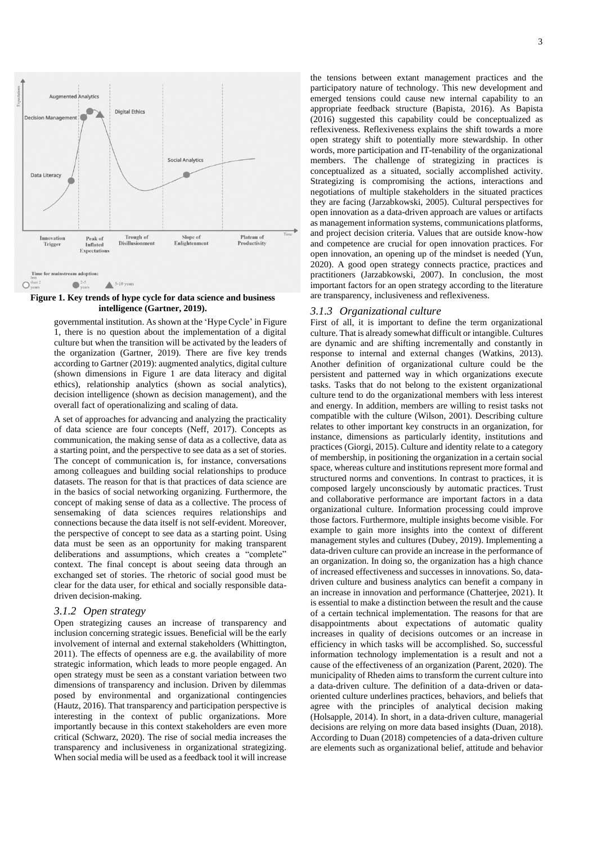

**Figure 1. Key trends of hype cycle for data science and business intelligence (Gartner, 2019).**

governmental institution. As shown at the 'Hype Cycle' in Figure 1, there is no question about the implementation of a digital culture but when the transition will be activated by the leaders of the organization (Gartner, 2019). There are five key trends according to Gartner (2019): augmented analytics, digital culture (shown dimensions in Figure 1 are data literacy and digital ethics), relationship analytics (shown as social analytics), decision intelligence (shown as decision management), and the overall fact of operationalizing and scaling of data.

A set of approaches for advancing and analyzing the practicality of data science are four concepts (Neff, 2017). Concepts as communication, the making sense of data as a collective, data as a starting point, and the perspective to see data as a set of stories. The concept of communication is, for instance, conversations among colleagues and building social relationships to produce datasets. The reason for that is that practices of data science are in the basics of social networking organizing. Furthermore, the concept of making sense of data as a collective. The process of sensemaking of data sciences requires relationships and connections because the data itself is not self-evident. Moreover, the perspective of concept to see data as a starting point. Using data must be seen as an opportunity for making transparent deliberations and assumptions, which creates a "complete" context. The final concept is about seeing data through an exchanged set of stories. The rhetoric of social good must be clear for the data user, for ethical and socially responsible datadriven decision-making.

### *3.1.2 Open strategy*

Open strategizing causes an increase of transparency and inclusion concerning strategic issues. Beneficial will be the early involvement of internal and external stakeholders (Whittington, 2011). The effects of openness are e.g. the availability of more strategic information, which leads to more people engaged. An open strategy must be seen as a constant variation between two dimensions of transparency and inclusion. Driven by dilemmas posed by environmental and organizational contingencies (Hautz, 2016). That transparency and participation perspective is interesting in the context of public organizations. More importantly because in this context stakeholders are even more critical (Schwarz, 2020). The rise of social media increases the transparency and inclusiveness in organizational strategizing. When social media will be used as a feedback tool it will increase

the tensions between extant management practices and the participatory nature of technology. This new development and emerged tensions could cause new internal capability to an appropriate feedback structure (Bapista, 2016). As Bapista (2016) suggested this capability could be conceptualized as reflexiveness. Reflexiveness explains the shift towards a more open strategy shift to potentially more stewardship. In other words, more participation and IT-tenability of the organizational members. The challenge of strategizing in practices is conceptualized as a situated, socially accomplished activity. Strategizing is compromising the actions, interactions and negotiations of multiple stakeholders in the situated practices they are facing (Jarzabkowski, 2005). Cultural perspectives for open innovation as a data-driven approach are values or artifacts as management information systems, communications platforms, and project decision criteria. Values that are outside know-how and competence are crucial for open innovation practices. For open innovation, an opening up of the mindset is needed (Yun, 2020). A good open strategy connects practice, practices and practitioners (Jarzabkowski, 2007). In conclusion, the most important factors for an open strategy according to the literature are transparency, inclusiveness and reflexiveness.

### *3.1.3 Organizational culture*

First of all, it is important to define the term organizational culture. That is already somewhat difficult or intangible. Cultures are dynamic and are shifting incrementally and constantly in response to internal and external changes (Watkins, 2013). Another definition of organizational culture could be the persistent and patterned way in which organizations execute tasks. Tasks that do not belong to the existent organizational culture tend to do the organizational members with less interest and energy. In addition, members are willing to resist tasks not compatible with the culture (Wilson, 2001). Describing culture relates to other important key constructs in an organization, for instance, dimensions as particularly identity, institutions and practices (Giorgi, 2015). Culture and identity relate to a category of membership, in positioning the organization in a certain social space, whereas culture and institutions represent more formal and structured norms and conventions. In contrast to practices, it is composed largely unconsciously by automatic practices. Trust and collaborative performance are important factors in a data organizational culture. Information processing could improve those factors. Furthermore, multiple insights become visible. For example to gain more insights into the context of different management styles and cultures (Dubey, 2019). Implementing a data-driven culture can provide an increase in the performance of an organization. In doing so, the organization has a high chance of increased effectiveness and successes in innovations. So, datadriven culture and business analytics can benefit a company in an increase in innovation and performance (Chatterjee, 2021). It is essential to make a distinction between the result and the cause of a certain technical implementation. The reasons for that are disappointments about expectations of automatic quality increases in quality of decisions outcomes or an increase in efficiency in which tasks will be accomplished. So, successful information technology implementation is a result and not a cause of the effectiveness of an organization (Parent, 2020). The municipality of Rheden aims to transform the current culture into a data-driven culture. The definition of a data-driven or dataoriented culture underlines practices, behaviors, and beliefs that agree with the principles of analytical decision making (Holsapple, 2014). In short, in a data-driven culture, managerial decisions are relying on more data based insights (Duan, 2018). According to Duan (2018) competencies of a data-driven culture are elements such as organizational belief, attitude and behavior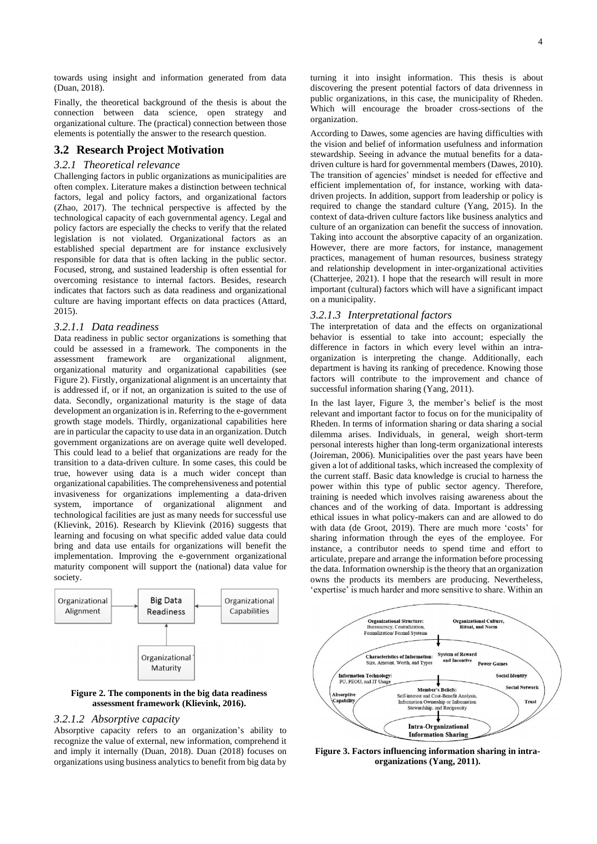towards using insight and information generated from data (Duan, 2018).

Finally, the theoretical background of the thesis is about the connection between data science, open strategy and organizational culture. The (practical) connection between those elements is potentially the answer to the research question.

## **3.2 Research Project Motivation**

### *3.2.1 Theoretical relevance*

Challenging factors in public organizations as municipalities are often complex. Literature makes a distinction between technical factors, legal and policy factors, and organizational factors (Zhao, 2017). The technical perspective is affected by the technological capacity of each governmental agency. Legal and policy factors are especially the checks to verify that the related legislation is not violated. Organizational factors as an established special department are for instance exclusively responsible for data that is often lacking in the public sector. Focused, strong, and sustained leadership is often essential for overcoming resistance to internal factors. Besides, research indicates that factors such as data readiness and organizational culture are having important effects on data practices (Attard, 2015).

### *3.2.1.1 Data readiness*

Data readiness in public sector organizations is something that could be assessed in a framework. The components in the assessment framework are organizational alignment, organizational maturity and organizational capabilities (see Figure 2). Firstly, organizational alignment is an uncertainty that is addressed if, or if not, an organization is suited to the use of data. Secondly, organizational maturity is the stage of data development an organization is in. Referring to the e-government growth stage models. Thirdly, organizational capabilities here are in particular the capacity to use data in an organization. Dutch government organizations are on average quite well developed. This could lead to a belief that organizations are ready for the transition to a data-driven culture. In some cases, this could be true, however using data is a much wider concept than organizational capabilities. The comprehensiveness and potential invasiveness for organizations implementing a data-driven system, importance of organizational alignment and technological facilities are just as many needs for successful use (Klievink, 2016). Research by Klievink (2016) suggests that learning and focusing on what specific added value data could bring and data use entails for organizations will benefit the implementation. Improving the e-government organizational maturity component will support the (national) data value for society.



### **Figure 2. The components in the big data readiness assessment framework (Klievink, 2016).**

### *3.2.1.2 Absorptive capacity*

Absorptive capacity refers to an organization's ability to recognize the value of external, new information, comprehend it and imply it internally (Duan, 2018). Duan (2018) focuses on organizations using business analytics to benefit from big data by

turning it into insight information. This thesis is about discovering the present potential factors of data drivenness in public organizations, in this case, the municipality of Rheden. Which will encourage the broader cross-sections of the organization.

According to Dawes, some agencies are having difficulties with the vision and belief of information usefulness and information stewardship. Seeing in advance the mutual benefits for a datadriven culture is hard for governmental members (Dawes, 2010). The transition of agencies' mindset is needed for effective and efficient implementation of, for instance, working with datadriven projects. In addition, support from leadership or policy is required to change the standard culture (Yang, 2015). In the context of data-driven culture factors like business analytics and culture of an organization can benefit the success of innovation. Taking into account the absorptive capacity of an organization. However, there are more factors, for instance, management practices, management of human resources, business strategy and relationship development in inter-organizational activities (Chatterjee, 2021). I hope that the research will result in more important (cultural) factors which will have a significant impact on a municipality.

### *3.2.1.3 Interpretational factors*

The interpretation of data and the effects on organizational behavior is essential to take into account; especially the difference in factors in which every level within an intraorganization is interpreting the change. Additionally, each department is having its ranking of precedence. Knowing those factors will contribute to the improvement and chance of successful information sharing (Yang, 2011).

In the last layer, Figure 3, the member's belief is the most relevant and important factor to focus on for the municipality of Rheden. In terms of information sharing or data sharing a social dilemma arises. Individuals, in general, weigh short-term personal interests higher than long-term organizational interests (Joireman, 2006). Municipalities over the past years have been given a lot of additional tasks, which increased the complexity of the current staff. Basic data knowledge is crucial to harness the power within this type of public sector agency. Therefore, training is needed which involves raising awareness about the chances and of the working of data. Important is addressing ethical issues in what policy-makers can and are allowed to do with data (de Groot, 2019). There are much more 'costs' for sharing information through the eyes of the employee. For instance, a contributor needs to spend time and effort to articulate, prepare and arrange the information before processing the data. Information ownership is the theory that an organization owns the products its members are producing. Nevertheless, 'expertise' is much harder and more sensitive to share. Within an



**Figure 3. Factors influencing information sharing in intraorganizations (Yang, 2011).**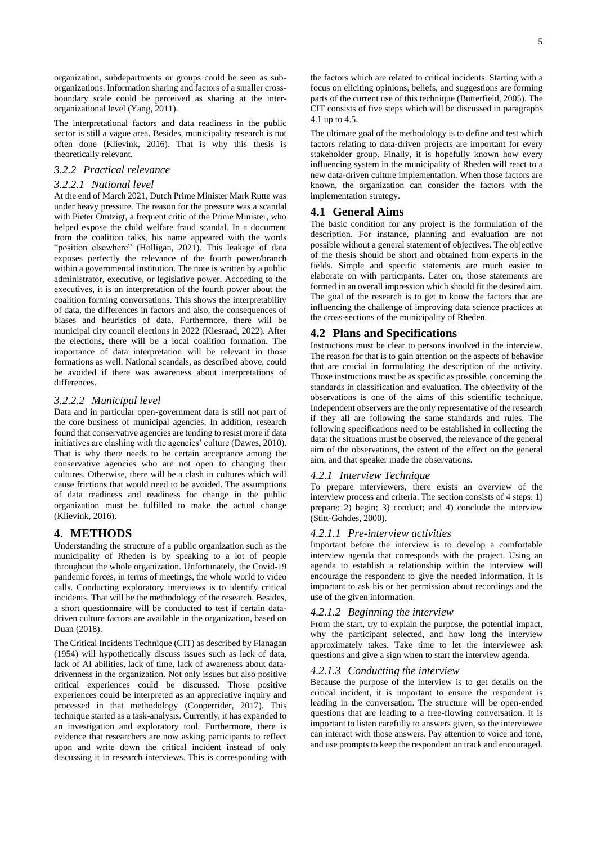organization, subdepartments or groups could be seen as suborganizations. Information sharing and factors of a smaller crossboundary scale could be perceived as sharing at the interorganizational level (Yang, 2011).

The interpretational factors and data readiness in the public sector is still a vague area. Besides, municipality research is not often done (Klievink, 2016). That is why this thesis is theoretically relevant.

### *3.2.2 Practical relevance*

### *3.2.2.1 National level*

At the end of March 2021, Dutch Prime Minister Mark Rutte was under heavy pressure. The reason for the pressure was a scandal with Pieter Omtzigt, a frequent critic of the Prime Minister, who helped expose the child welfare fraud scandal. In a document from the coalition talks, his name appeared with the words "position elsewhere" (Holligan, 2021). This leakage of data exposes perfectly the relevance of the fourth power/branch within a governmental institution. The note is written by a public administrator, executive, or legislative power. According to the executives, it is an interpretation of the fourth power about the coalition forming conversations. This shows the interpretability of data, the differences in factors and also, the consequences of biases and heuristics of data. Furthermore, there will be municipal city council elections in 2022 (Kiesraad, 2022). After the elections, there will be a local coalition formation. The importance of data interpretation will be relevant in those formations as well. National scandals, as described above, could be avoided if there was awareness about interpretations of differences.

### *3.2.2.2 Municipal level*

Data and in particular open-government data is still not part of the core business of municipal agencies. In addition, research found that conservative agencies are tending to resist more if data initiatives are clashing with the agencies' culture (Dawes, 2010). That is why there needs to be certain acceptance among the conservative agencies who are not open to changing their cultures. Otherwise, there will be a clash in cultures which will cause frictions that would need to be avoided. The assumptions of data readiness and readiness for change in the public organization must be fulfilled to make the actual change (Klievink, 2016).

### **4. METHODS**

Understanding the structure of a public organization such as the municipality of Rheden is by speaking to a lot of people throughout the whole organization. Unfortunately, the Covid-19 pandemic forces, in terms of meetings, the whole world to video calls. Conducting exploratory interviews is to identify critical incidents. That will be the methodology of the research. Besides, a short questionnaire will be conducted to test if certain datadriven culture factors are available in the organization, based on Duan (2018).

The Critical Incidents Technique (CIT) as described by Flanagan (1954) will hypothetically discuss issues such as lack of data, lack of AI abilities, lack of time, lack of awareness about datadrivenness in the organization. Not only issues but also positive critical experiences could be discussed. Those positive experiences could be interpreted as an appreciative inquiry and processed in that methodology (Cooperrider, 2017). This technique started as a task-analysis. Currently, it has expanded to an investigation and exploratory tool. Furthermore, there is evidence that researchers are now asking participants to reflect upon and write down the critical incident instead of only discussing it in research interviews. This is corresponding with

the factors which are related to critical incidents. Starting with a focus on eliciting opinions, beliefs, and suggestions are forming parts of the current use of this technique (Butterfield, 2005). The CIT consists of five steps which will be discussed in paragraphs 4.1 up to 4.5.

The ultimate goal of the methodology is to define and test which factors relating to data-driven projects are important for every stakeholder group. Finally, it is hopefully known how every influencing system in the municipality of Rheden will react to a new data-driven culture implementation. When those factors are known, the organization can consider the factors with the implementation strategy.

### **4.1 General Aims**

The basic condition for any project is the formulation of the description. For instance, planning and evaluation are not possible without a general statement of objectives. The objective of the thesis should be short and obtained from experts in the fields. Simple and specific statements are much easier to elaborate on with participants. Later on, those statements are formed in an overall impression which should fit the desired aim. The goal of the research is to get to know the factors that are influencing the challenge of improving data science practices at the cross-sections of the municipality of Rheden.

### **4.2 Plans and Specifications**

Instructions must be clear to persons involved in the interview. The reason for that is to gain attention on the aspects of behavior that are crucial in formulating the description of the activity. Those instructions must be as specific as possible, concerning the standards in classification and evaluation. The objectivity of the observations is one of the aims of this scientific technique. Independent observers are the only representative of the research if they all are following the same standards and rules. The following specifications need to be established in collecting the data: the situations must be observed, the relevance of the general aim of the observations, the extent of the effect on the general aim, and that speaker made the observations.

### *4.2.1 Interview Technique*

To prepare interviewers, there exists an overview of the interview process and criteria. The section consists of 4 steps: 1) prepare; 2) begin; 3) conduct; and 4) conclude the interview (Stitt-Gohdes, 2000).

### *4.2.1.1 Pre-interview activities*

Important before the interview is to develop a comfortable interview agenda that corresponds with the project. Using an agenda to establish a relationship within the interview will encourage the respondent to give the needed information. It is important to ask his or her permission about recordings and the use of the given information.

#### *4.2.1.2 Beginning the interview*

From the start, try to explain the purpose, the potential impact, why the participant selected, and how long the interview approximately takes. Take time to let the interviewee ask questions and give a sign when to start the interview agenda.

### *4.2.1.3 Conducting the interview*

Because the purpose of the interview is to get details on the critical incident, it is important to ensure the respondent is leading in the conversation. The structure will be open-ended questions that are leading to a free-flowing conversation. It is important to listen carefully to answers given, so the interviewee can interact with those answers. Pay attention to voice and tone, and use prompts to keep the respondent on track and encouraged.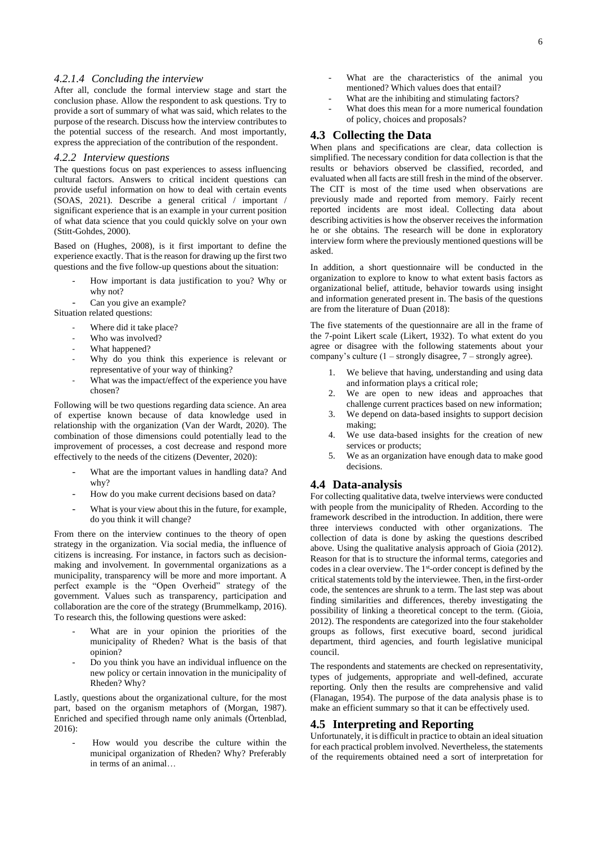### *4.2.1.4 Concluding the interview*

After all, conclude the formal interview stage and start the conclusion phase. Allow the respondent to ask questions. Try to provide a sort of summary of what was said, which relates to the purpose of the research. Discuss how the interview contributes to the potential success of the research. And most importantly, express the appreciation of the contribution of the respondent.

### *4.2.2 Interview questions*

The questions focus on past experiences to assess influencing cultural factors. Answers to critical incident questions can provide useful information on how to deal with certain events (SOAS, 2021). Describe a general critical / important / significant experience that is an example in your current position of what data science that you could quickly solve on your own (Stitt-Gohdes, 2000).

Based on (Hughes, 2008), is it first important to define the experience exactly. That is the reason for drawing up the first two questions and the five follow-up questions about the situation:

- How important is data justification to you? Why or why not?
- Can you give an example?
- Situation related questions:
	- Where did it take place?
	- Who was involved?
	- What happened?
	- Why do you think this experience is relevant or representative of your way of thinking?
	- What was the impact/effect of the experience you have chosen?

Following will be two questions regarding data science. An area of expertise known because of data knowledge used in relationship with the organization (Van der Wardt, 2020). The combination of those dimensions could potentially lead to the improvement of processes, a cost decrease and respond more effectively to the needs of the citizens (Deventer, 2020):

- What are the important values in handling data? And why?
- How do you make current decisions based on data?
- What is your view about this in the future, for example, do you think it will change?

From there on the interview continues to the theory of open strategy in the organization. Via social media, the influence of citizens is increasing. For instance, in factors such as decisionmaking and involvement. In governmental organizations as a municipality, transparency will be more and more important. A perfect example is the "Open Overheid" strategy of the government. Values such as transparency, participation and collaboration are the core of the strategy (Brummelkamp, 2016). To research this, the following questions were asked:

- What are in your opinion the priorities of the municipality of Rheden? What is the basis of that opinion?
- Do you think you have an individual influence on the new policy or certain innovation in the municipality of Rheden? Why?

Lastly, questions about the organizational culture, for the most part, based on the organism metaphors of (Morgan, 1987). Enriched and specified through name only animals (Örtenblad, 2016):

- How would you describe the culture within the municipal organization of Rheden? Why? Preferably in terms of an animal…

6

- What are the characteristics of the animal you mentioned? Which values does that entail?
- What are the inhibiting and stimulating factors?
- What does this mean for a more numerical foundation of policy, choices and proposals?

## **4.3 Collecting the Data**

When plans and specifications are clear, data collection is simplified. The necessary condition for data collection is that the results or behaviors observed be classified, recorded, and evaluated when all facts are still fresh in the mind of the observer. The CIT is most of the time used when observations are previously made and reported from memory. Fairly recent reported incidents are most ideal. Collecting data about describing activities is how the observer receives the information he or she obtains. The research will be done in exploratory interview form where the previously mentioned questions will be asked.

In addition, a short questionnaire will be conducted in the organization to explore to know to what extent basis factors as organizational belief, attitude, behavior towards using insight and information generated present in. The basis of the questions are from the literature of Duan (2018):

The five statements of the questionnaire are all in the frame of the 7-point Likert scale (Likert, 1932). To what extent do you agree or disagree with the following statements about your company's culture (1 – strongly disagree, 7 – strongly agree).

- 1. We believe that having, understanding and using data and information plays a critical role;
- 2. We are open to new ideas and approaches that challenge current practices based on new information;
- 3. We depend on data-based insights to support decision making;
- 4. We use data-based insights for the creation of new services or products;
- 5. We as an organization have enough data to make good decisions.

# **4.4 Data-analysis**

For collecting qualitative data, twelve interviews were conducted with people from the municipality of Rheden. According to the framework described in the introduction. In addition, there were three interviews conducted with other organizations. The collection of data is done by asking the questions described above. Using the qualitative analysis approach of Gioia (2012). Reason for that is to structure the informal terms, categories and codes in a clear overview. The 1<sup>st</sup>-order concept is defined by the critical statements told by the interviewee. Then, in the first-order code, the sentences are shrunk to a term. The last step was about finding similarities and differences, thereby investigating the possibility of linking a theoretical concept to the term. (Gioia, 2012). The respondents are categorized into the four stakeholder groups as follows, first executive board, second juridical department, third agencies, and fourth legislative municipal council.

The respondents and statements are checked on representativity, types of judgements, appropriate and well-defined, accurate reporting. Only then the results are comprehensive and valid (Flanagan, 1954). The purpose of the data analysis phase is to make an efficient summary so that it can be effectively used.

### **4.5 Interpreting and Reporting**

Unfortunately, it is difficult in practice to obtain an ideal situation for each practical problem involved. Nevertheless, the statements of the requirements obtained need a sort of interpretation for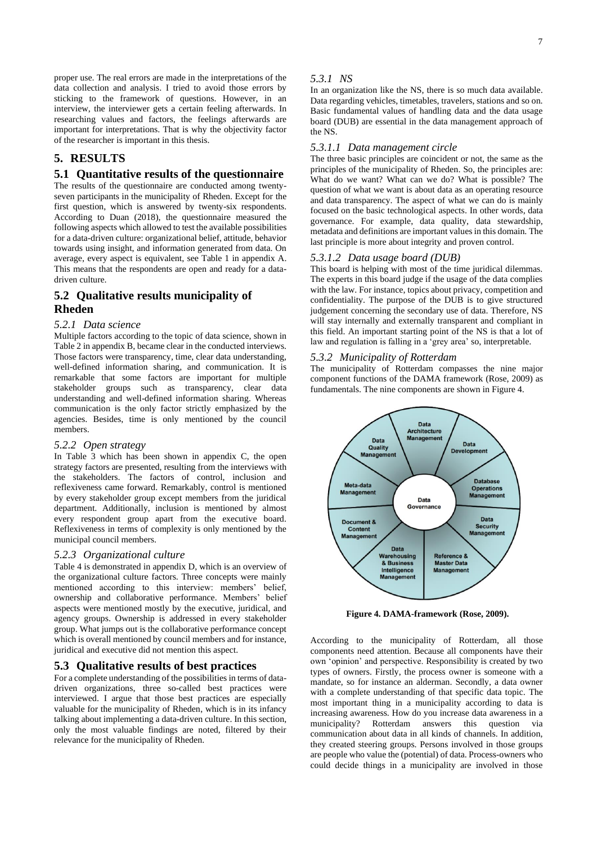proper use. The real errors are made in the interpretations of the data collection and analysis. I tried to avoid those errors by sticking to the framework of questions. However, in an interview, the interviewer gets a certain feeling afterwards. In researching values and factors, the feelings afterwards are important for interpretations. That is why the objectivity factor of the researcher is important in this thesis.

# **5. RESULTS**

### **5.1 Quantitative results of the questionnaire**

The results of the questionnaire are conducted among twentyseven participants in the municipality of Rheden. Except for the first question, which is answered by twenty-six respondents. According to Duan (2018), the questionnaire measured the following aspects which allowed to test the available possibilities for a data-driven culture: organizational belief, attitude, behavior towards using insight, and information generated from data. On average, every aspect is equivalent, see Table 1 in appendix A. This means that the respondents are open and ready for a datadriven culture.

## **5.2 Qualitative results municipality of Rheden**

### *5.2.1 Data science*

Multiple factors according to the topic of data science, shown in Table 2 in appendix B, became clear in the conducted interviews. Those factors were transparency, time, clear data understanding, well-defined information sharing, and communication. It is remarkable that some factors are important for multiple stakeholder groups such as transparency, clear data understanding and well-defined information sharing. Whereas communication is the only factor strictly emphasized by the agencies. Besides, time is only mentioned by the council members.

### *5.2.2 Open strategy*

In Table 3 which has been shown in appendix C, the open strategy factors are presented, resulting from the interviews with the stakeholders. The factors of control, inclusion and reflexiveness came forward. Remarkably, control is mentioned by every stakeholder group except members from the juridical department. Additionally, inclusion is mentioned by almost every respondent group apart from the executive board. Reflexiveness in terms of complexity is only mentioned by the municipal council members.

### *5.2.3 Organizational culture*

Table 4 is demonstrated in appendix D, which is an overview of the organizational culture factors. Three concepts were mainly mentioned according to this interview: members' belief, ownership and collaborative performance. Members' belief aspects were mentioned mostly by the executive, juridical, and agency groups. Ownership is addressed in every stakeholder group. What jumps out is the collaborative performance concept which is overall mentioned by council members and for instance, juridical and executive did not mention this aspect.

### **5.3 Qualitative results of best practices**

For a complete understanding of the possibilities in terms of datadriven organizations, three so-called best practices were interviewed. I argue that those best practices are especially valuable for the municipality of Rheden, which is in its infancy talking about implementing a data-driven culture. In this section, only the most valuable findings are noted, filtered by their relevance for the municipality of Rheden.

#### *5.3.1 NS*

In an organization like the NS, there is so much data available. Data regarding vehicles, timetables, travelers, stations and so on. Basic fundamental values of handling data and the data usage board (DUB) are essential in the data management approach of the NS.

### *5.3.1.1 Data management circle*

The three basic principles are coincident or not, the same as the principles of the municipality of Rheden. So, the principles are: What do we want? What can we do? What is possible? The question of what we want is about data as an operating resource and data transparency. The aspect of what we can do is mainly focused on the basic technological aspects. In other words, data governance. For example, data quality, data stewardship, metadata and definitions are important values in this domain. The last principle is more about integrity and proven control.

### *5.3.1.2 Data usage board (DUB)*

This board is helping with most of the time juridical dilemmas. The experts in this board judge if the usage of the data complies with the law. For instance, topics about privacy, competition and confidentiality. The purpose of the DUB is to give structured judgement concerning the secondary use of data. Therefore, NS will stay internally and externally transparent and compliant in this field. An important starting point of the NS is that a lot of law and regulation is falling in a 'grey area' so, interpretable.

### *5.3.2 Municipality of Rotterdam*

The municipality of Rotterdam compasses the nine major component functions of the DAMA framework (Rose, 2009) as fundamentals. The nine components are shown in Figure 4.



**Figure 4. DAMA-framework (Rose, 2009).**

According to the municipality of Rotterdam, all those components need attention. Because all components have their own 'opinion' and perspective. Responsibility is created by two types of owners. Firstly, the process owner is someone with a mandate, so for instance an alderman. Secondly, a data owner with a complete understanding of that specific data topic. The most important thing in a municipality according to data is increasing awareness. How do you increase data awareness in a municipality? Rotterdam answers this question via communication about data in all kinds of channels. In addition, they created steering groups. Persons involved in those groups are people who value the (potential) of data. Process-owners who could decide things in a municipality are involved in those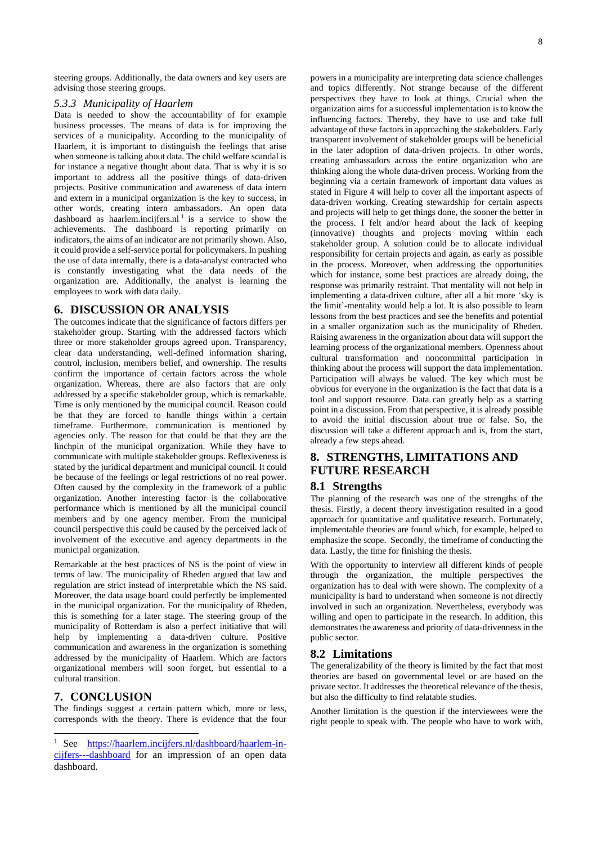steering groups. Additionally, the data owners and key users are advising those steering groups.

### *5.3.3 Municipality of Haarlem*

Data is needed to show the accountability of for example business processes. The means of data is for improving the services of a municipality. According to the municipality of Haarlem, it is important to distinguish the feelings that arise when someone is talking about data. The child welfare scandal is for instance a negative thought about data. That is why it is so important to address all the positive things of data-driven projects. Positive communication and awareness of data intern and extern in a municipal organization is the key to success, in other words, creating intern ambassadors. An open data dashboard as haarlem.incijfers.nl<sup>1</sup> is a service to show the achievements. [The dashboard is reporting primarily on](https://haarlem.incijfers.nl/dashboard/haarlem-in-cijfers---dashboard)  [indicators, the aims of an indicator are not primarily shown. Also,](https://haarlem.incijfers.nl/dashboard/haarlem-in-cijfers---dashboard) it could provide a self-service portal for policymakers. In pushing the use of data internally, there is a data-analyst contracted who is constantly investigating what the data needs of the organization are. Additionally, the analyst is learning the employees to work with data daily.

### **6. DISCUSSION OR ANALYSIS**

The outcomes indicate that the significance of factors differs per stakeholder group. Starting with the addressed factors which three or more stakeholder groups agreed upon. Transparency, clear data understanding, well-defined information sharing, control, inclusion, members belief, and ownership. The results confirm the importance of certain factors across the whole organization. Whereas, there are also factors that are only addressed by a specific stakeholder group, which is remarkable. Time is only mentioned by the municipal council. Reason could be that they are forced to handle things within a certain timeframe. Furthermore, communication is mentioned by agencies only. The reason for that could be that they are the linchpin of the municipal organization. While they have to communicate with multiple stakeholder groups. Reflexiveness is stated by the juridical department and municipal council. It could be because of the feelings or legal restrictions of no real power. Often caused by the complexity in the framework of a public organization. Another interesting factor is the collaborative performance which is mentioned by all the municipal council members and by one agency member. From the municipal council perspective this could be caused by the perceived lack of involvement of the executive and agency departments in the municipal organization.

Remarkable at the best practices of NS is the point of view in terms of law. The municipality of Rheden argued that law and regulation are strict instead of interpretable which the NS said. Moreover, the data usage board could perfectly be implemented in the municipal organization. For the municipality of Rheden, this is something for a later stage. The steering group of the municipality of Rotterdam is also a perfect initiative that will help by implementing a data-driven culture. Positive communication and awareness in the organization is something addressed by the municipality of Haarlem. Which are factors organizational members will soon forget, but essential to a cultural transition.

### **7. CONCLUSION**

The findings suggest a certain pattern which, more or less, corresponds with the theory. There is evidence that the four

powers in a municipality are interpreting data science challenges and topics differently. Not strange because of the different perspectives they have to look at things. Crucial when the organization aims for a successful implementation is to know the influencing factors. Thereby, they have to use and take full advantage of these factors in approaching the stakeholders. Early transparent involvement of stakeholder groups will be beneficial in the later adoption of data-driven projects. In other words, creating ambassadors across the entire organization who are thinking along the whole data-driven process. Working from the beginning via a certain framework of important data values as stated in Figure 4 will help to cover all the important aspects of data-driven working. Creating stewardship for certain aspects and projects will help to get things done, the sooner the better in the process. I felt and/or heard about the lack of keeping (innovative) thoughts and projects moving within each stakeholder group. A solution could be to allocate individual responsibility for certain projects and again, as early as possible in the process. Moreover, when addressing the opportunities which for instance, some best practices are already doing, the response was primarily restraint. That mentality will not help in implementing a data-driven culture, after all a bit more 'sky is the limit'-mentality would help a lot. It is also possible to learn lessons from the best practices and see the benefits and potential in a smaller organization such as the municipality of Rheden. Raising awareness in the organization about data will support the learning process of the organizational members. Openness about cultural transformation and noncommittal participation in thinking about the process will support the data implementation. Participation will always be valued. The key which must be obvious for everyone in the organization is the fact that data is a tool and support resource. Data can greatly help as a starting point in a discussion. From that perspective, it is already possible to avoid the initial discussion about true or false. So, the discussion will take a different approach and is, from the start, already a few steps ahead.

# **8. STRENGTHS, LIMITATIONS AND FUTURE RESEARCH**

### **8.1 Strengths**

The planning of the research was one of the strengths of the thesis. Firstly, a decent theory investigation resulted in a good approach for quantitative and qualitative research. Fortunately, implementable theories are found which, for example, helped to emphasize the scope. Secondly, the timeframe of conducting the data. Lastly, the time for finishing the thesis.

With the opportunity to interview all different kinds of people through the organization, the multiple perspectives the organization has to deal with were shown. The complexity of a municipality is hard to understand when someone is not directly involved in such an organization. Nevertheless, everybody was willing and open to participate in the research. In addition, this demonstrates the awareness and priority of data-drivenness in the public sector.

### **8.2 Limitations**

The generalizability of the theory is limited by the fact that most theories are based on governmental level or are based on the private sector. It addresses the theoretical relevance of the thesis, but also the difficulty to find relatable studies.

Another limitation is the question if the interviewees were the right people to speak with. The people who have to work with,

See [https://haarlem.incijfers.nl/dashboard/haarlem-in](https://haarlem.incijfers.nl/dashboard/haarlem-in-cijfers---dashboard)[cijfers---dashboard](https://haarlem.incijfers.nl/dashboard/haarlem-in-cijfers---dashboard) for an impression of an open data dashboard.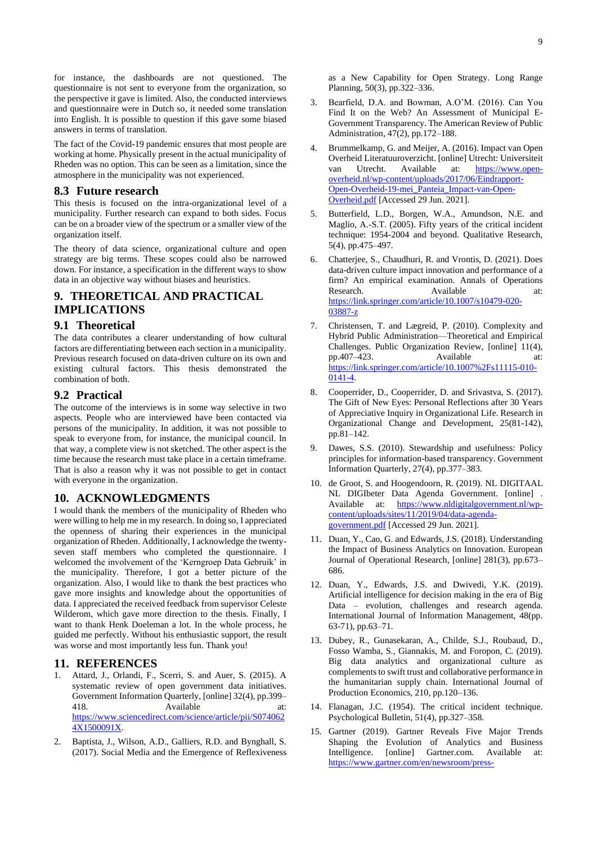The fact of the Covid-19 pandemic ensures that most people are working at home. Physically present in the actual municipality of Rheden was no option. This can be seen as a limitation, since the atmosphere in the municipality was not experienced.

### **8.3 Future research**

This thesis is focused on the intra-organizational level of a municipality. Further research can expand to both sides. Focus can be on a broader view of the spectrum or a smaller view of the organization itself.

The theory of data science, organizational culture and open strategy are big terms. These scopes could also be narrowed down. For instance, a specification in the different ways to show data in an objective way without biases and heuristics.

# **9. THEORETICAL AND PRACTICAL IMPLICATIONS**

## **9.1 Theoretical**

The data contributes a clearer understanding of how cultural factors are differentiating between each section in a municipality. Previous research focused on data-driven culture on its own and existing cultural factors. This thesis demonstrated the combination of both.

### **9.2 Practical**

The outcome of the interviews is in some way selective in two aspects. People who are interviewed have been contacted via persons of the municipality. In addition, it was not possible to speak to everyone from, for instance, the municipal council. In that way, a complete view is not sketched. The other aspect is the time because the research must take place in a certain timeframe. That is also a reason why it was not possible to get in contact with everyone in the organization.

### **10. ACKNOWLEDGMENTS**

I would thank the members of the municipality of Rheden who were willing to help me in my research. In doing so, I appreciated the openness of sharing their experiences in the municipal organization of Rheden. Additionally, I acknowledge the twentyseven staff members who completed the questionnaire. I welcomed the involvement of the 'Kerngroep Data Gebruik' in the municipality. Therefore, I got a better picture of the organization. Also, I would like to thank the best practices who gave more insights and knowledge about the opportunities of data. I appreciated the received feedback from supervisor Celeste Wilderom, which gave more direction to the thesis. Finally, I want to thank Henk Doeleman a lot. In the whole process, he guided me perfectly. Without his enthusiastic support, the result was worse and most importantly less fun. Thank you!

### **11. REFERENCES**

- 1. Attard, J., Orlandi, F., Scerri, S. and Auer, S. (2015). A systematic review of open government data initiatives. Government Information Quarterly, [online] 32(4), pp.399– 418. Available at: [https://www.sciencedirect.com/science/article/pii/S074062](https://www.sciencedirect.com/science/article/pii/S0740624X1500091X) [4X1500091X.](https://www.sciencedirect.com/science/article/pii/S0740624X1500091X)
- 2. Baptista, J., Wilson, A.D., Galliers, R.D. and Bynghall, S. (2017). Social Media and the Emergence of Reflexiveness

as a New Capability for Open Strategy. Long Range Planning, 50(3), pp.322–336.

- 3. Bearfield, D.A. and Bowman, A.O'M. (2016). Can You Find It on the Web? An Assessment of Municipal E-Government Transparency. The American Review of Public Administration, 47(2), pp.172–188.
- 4. Brummelkamp, G. and Meijer, A. (2016). Impact van Open Overheid Literatuuroverzicht. [online] Utrecht: Universiteit van Utrecht. Available at: [https://www.open](https://www.open-overheid.nl/wp-content/uploads/2017/06/Eindrapport-Open-Overheid-19-mei_Panteia_Impact-van-Open-Overheid.pdf)[overheid.nl/wp-content/uploads/2017/06/Eindrapport-](https://www.open-overheid.nl/wp-content/uploads/2017/06/Eindrapport-Open-Overheid-19-mei_Panteia_Impact-van-Open-Overheid.pdf)[Open-Overheid-19-mei\\_Panteia\\_Impact-van-Open-](https://www.open-overheid.nl/wp-content/uploads/2017/06/Eindrapport-Open-Overheid-19-mei_Panteia_Impact-van-Open-Overheid.pdf)[Overheid.pdf](https://www.open-overheid.nl/wp-content/uploads/2017/06/Eindrapport-Open-Overheid-19-mei_Panteia_Impact-van-Open-Overheid.pdf) [Accessed 29 Jun. 2021].
- 5. Butterfield, L.D., Borgen, W.A., Amundson, N.E. and Maglio, A.-S.T. (2005). Fifty years of the critical incident technique: 1954-2004 and beyond. Qualitative Research, 5(4), pp.475–497.
- 6. Chatterjee, S., Chaudhuri, R. and Vrontis, D. (2021). Does data-driven culture impact innovation and performance of a firm? An empirical examination. Annals of Operations Research. Available at: [https://link.springer.com/article/10.1007/s10479-020-](https://link.springer.com/article/10.1007/s10479-020-03887-z) [03887-z](https://link.springer.com/article/10.1007/s10479-020-03887-z)
- 7. Christensen, T. and Lægreid, P. (2010). Complexity and Hybrid Public Administration—Theoretical and Empirical Challenges. Public Organization Review, [online] 11(4), pp.407–423. Available at: [https://link.springer.com/article/10.1007%2Fs11115-010-](https://link.springer.com/article/10.1007%2Fs11115-010-0141-4) [0141-4.](https://link.springer.com/article/10.1007%2Fs11115-010-0141-4)
- 8. Cooperrider, D., Cooperrider, D. and Srivastva, S. (2017). The Gift of New Eyes: Personal Reflections after 30 Years of Appreciative Inquiry in Organizational Life. Research in Organizational Change and Development, 25(81-142), pp.81–142.
- Dawes, S.S. (2010). Stewardship and usefulness: Policy principles for information-based transparency. Government Information Quarterly, 27(4), pp.377–383.
- 10. de Groot, S. and Hoogendoorn, R. (2019). NL DIGITAAL NL DIGIbeter Data Agenda Government. [online] . Available at: [https://www.nldigitalgovernment.nl/wp](https://www.nldigitalgovernment.nl/wp-content/uploads/sites/11/2019/04/data-agenda-government.pdf)[content/uploads/sites/11/2019/04/data-agenda](https://www.nldigitalgovernment.nl/wp-content/uploads/sites/11/2019/04/data-agenda-government.pdf)[government.pdf](https://www.nldigitalgovernment.nl/wp-content/uploads/sites/11/2019/04/data-agenda-government.pdf) [Accessed 29 Jun. 2021].
- 11. Duan, Y., Cao, G. and Edwards, J.S. (2018). Understanding the Impact of Business Analytics on Innovation. European Journal of Operational Research, [online] 281(3), pp.673– 686.
- 12. Duan, Y., Edwards, J.S. and Dwivedi, Y.K. (2019). Artificial intelligence for decision making in the era of Big Data – evolution, challenges and research agenda. International Journal of Information Management, 48(pp. 63-71), pp.63–71.
- 13. Dubey, R., Gunasekaran, A., Childe, S.J., Roubaud, D., Fosso Wamba, S., Giannakis, M. and Foropon, C. (2019). Big data analytics and organizational culture as complements to swift trust and collaborative performance in the humanitarian supply chain. International Journal of Production Economics, 210, pp.120–136.
- 14. Flanagan, J.C. (1954). The critical incident technique. Psychological Bulletin, 51(4), pp.327–358.
- 15. Gartner (2019). Gartner Reveals Five Major Trends Shaping the Evolution of Analytics and Business Intelligence. [online] Gartner.com. Available at: [https://www.gartner.com/en/newsroom/press-](https://www.gartner.com/en/newsroom/press-releases/2019-10-02-gartner-reveals-five-major-trends-shaping-the-evoluti)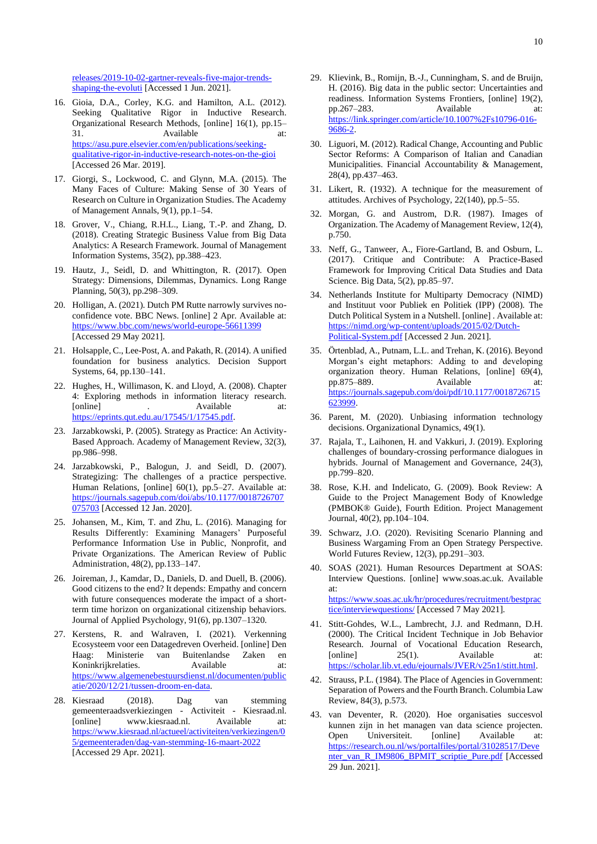[releases/2019-10-02-gartner-reveals-five-major-trends](https://www.gartner.com/en/newsroom/press-releases/2019-10-02-gartner-reveals-five-major-trends-shaping-the-evoluti)[shaping-the-evoluti](https://www.gartner.com/en/newsroom/press-releases/2019-10-02-gartner-reveals-five-major-trends-shaping-the-evoluti) [Accessed 1 Jun. 2021].

- 16. Gioia, D.A., Corley, K.G. and Hamilton, A.L. (2012). Seeking Qualitative Rigor in Inductive Research. Organizational Research Methods, [online] 16(1), pp.15– 31. Available at: [https://asu.pure.elsevier.com/en/publications/seeking](https://asu.pure.elsevier.com/en/publications/seeking-qualitative-rigor-in-inductive-research-notes-on-the-gioi)[qualitative-rigor-in-inductive-research-notes-on-the-gioi](https://asu.pure.elsevier.com/en/publications/seeking-qualitative-rigor-in-inductive-research-notes-on-the-gioi) [Accessed 26 Mar. 2019].
- 17. Giorgi, S., Lockwood, C. and Glynn, M.A. (2015). The Many Faces of Culture: Making Sense of 30 Years of Research on Culture in Organization Studies. The Academy of Management Annals, 9(1), pp.1–54.
- 18. Grover, V., Chiang, R.H.L., Liang, T.-P. and Zhang, D. (2018). Creating Strategic Business Value from Big Data Analytics: A Research Framework. Journal of Management Information Systems, 35(2), pp.388–423.
- 19. Hautz, J., Seidl, D. and Whittington, R. (2017). Open Strategy: Dimensions, Dilemmas, Dynamics. Long Range Planning, 50(3), pp.298–309.
- 20. Holligan, A. (2021). Dutch PM Rutte narrowly survives noconfidence vote. BBC News. [online] 2 Apr. Available at: <https://www.bbc.com/news/world-europe-56611399> [Accessed 29 May 2021].
- 21. Holsapple, C., Lee-Post, A. and Pakath, R. (2014). A unified foundation for business analytics. Decision Support Systems, 64, pp.130–141.
- 22. Hughes, H., Willimason, K. and Lloyd, A. (2008). Chapter 4: Exploring methods in information literacy research. [online] The Left Available at: [https://eprints.qut.edu.au/17545/1/17545.pdf.](https://eprints.qut.edu.au/17545/1/17545.pdf)
- 23. Jarzabkowski, P. (2005). Strategy as Practice: An Activity-Based Approach. Academy of Management Review, 32(3), pp.986–998.
- 24. Jarzabkowski, P., Balogun, J. and Seidl, D. (2007). Strategizing: The challenges of a practice perspective. Human Relations, [online] 60(1), pp.5-27. Available at: [https://journals.sagepub.com/doi/abs/10.1177/0018726707](https://journals.sagepub.com/doi/abs/10.1177/0018726707075703) [075703](https://journals.sagepub.com/doi/abs/10.1177/0018726707075703) [Accessed 12 Jan. 2020].
- 25. Johansen, M., Kim, T. and Zhu, L. (2016). Managing for Results Differently: Examining Managers' Purposeful Performance Information Use in Public, Nonprofit, and Private Organizations. The American Review of Public Administration, 48(2), pp.133–147.
- 26. Joireman, J., Kamdar, D., Daniels, D. and Duell, B. (2006). Good citizens to the end? It depends: Empathy and concern with future consequences moderate the impact of a shortterm time horizon on organizational citizenship behaviors. Journal of Applied Psychology, 91(6), pp.1307–1320.
- 27. Kerstens, R. and Walraven, I. (2021). Verkenning Ecosysteem voor een Datagedreven Overheid. [online] Den Haag: Ministerie van Buitenlandse Zaken en Koninkrijkrelaties. Available at: [https://www.algemenebestuursdienst.nl/documenten/public](https://www.algemenebestuursdienst.nl/documenten/publicatie/2020/12/21/tussen-droom-en-data) [atie/2020/12/21/tussen-droom-en-data.](https://www.algemenebestuursdienst.nl/documenten/publicatie/2020/12/21/tussen-droom-en-data)
- 28. Kiesraad (2018). Dag van stemming gemeenteraadsverkiezingen - Activiteit - Kiesraad.nl. [online] www.kiesraad.nl. Available at: [https://www.kiesraad.nl/actueel/activiteiten/verkiezingen/0](https://www.kiesraad.nl/actueel/activiteiten/verkiezingen/05/gemeenteraden/dag-van-stemming-16-maart-2022) [5/gemeenteraden/dag-van-stemming-16-maart-2022](https://www.kiesraad.nl/actueel/activiteiten/verkiezingen/05/gemeenteraden/dag-van-stemming-16-maart-2022) [Accessed 29 Apr. 2021].
- 29. Klievink, B., Romijn, B.-J., Cunningham, S. and de Bruijn, H. (2016). Big data in the public sector: Uncertainties and readiness. Information Systems Frontiers, [online] 19(2), pp.267–283. Available at: [https://link.springer.com/article/10.1007%2Fs10796-016-](https://link.springer.com/article/10.1007%2Fs10796-016-9686-2) [9686-2.](https://link.springer.com/article/10.1007%2Fs10796-016-9686-2)
- 30. Liguori, M. (2012). Radical Change, Accounting and Public Sector Reforms: A Comparison of Italian and Canadian Municipalities. Financial Accountability & Management, 28(4), pp.437–463.
- 31. Likert, R. (1932). A technique for the measurement of attitudes. Archives of Psychology, 22(140), pp.5–55.
- 32. Morgan, G. and Austrom, D.R. (1987). Images of Organization. The Academy of Management Review, 12(4), p.750.
- 33. Neff, G., Tanweer, A., Fiore-Gartland, B. and Osburn, L. (2017). Critique and Contribute: A Practice-Based Framework for Improving Critical Data Studies and Data Science. Big Data, 5(2), pp.85–97.
- 34. Netherlands Institute for Multiparty Democracy (NIMD) and Instituut voor Publiek en Politiek (IPP) (2008). The Dutch Political System in a Nutshell. [online] . Available at: [https://nimd.org/wp-content/uploads/2015/02/Dutch-](https://nimd.org/wp-content/uploads/2015/02/Dutch-Political-System.pdf)[Political-System.pdf](https://nimd.org/wp-content/uploads/2015/02/Dutch-Political-System.pdf) [Accessed 2 Jun. 2021].
- 35. Örtenblad, A., Putnam, L.L. and Trehan, K. (2016). Beyond Morgan's eight metaphors: Adding to and developing organization theory. Human Relations, [online] 69(4), pp.875–889. Available at: [https://journals.sagepub.com/doi/pdf/10.1177/0018726715](https://journals.sagepub.com/doi/pdf/10.1177/0018726715623999) [623999.](https://journals.sagepub.com/doi/pdf/10.1177/0018726715623999)
- 36. Parent, M. (2020). Unbiasing information technology decisions. Organizational Dynamics, 49(1).
- 37. Rajala, T., Laihonen, H. and Vakkuri, J. (2019). Exploring challenges of boundary-crossing performance dialogues in hybrids. Journal of Management and Governance, 24(3), pp.799–820.
- 38. Rose, K.H. and Indelicato, G. (2009). Book Review: A Guide to the Project Management Body of Knowledge (PMBOK® Guide), Fourth Edition. Project Management Journal, 40(2), pp.104–104.
- 39. Schwarz, J.O. (2020). Revisiting Scenario Planning and Business Wargaming From an Open Strategy Perspective. World Futures Review, 12(3), pp.291–303.
- 40. SOAS (2021). Human Resources Department at SOAS: Interview Questions. [online] www.soas.ac.uk. Available at: [https://www.soas.ac.uk/hr/procedures/recruitment/bestprac](https://www.soas.ac.uk/hr/procedures/recruitment/bestpractice/interviewquestions/) [tice/interviewquestions/](https://www.soas.ac.uk/hr/procedures/recruitment/bestpractice/interviewquestions/) [Accessed 7 May 2021].
- 41. Stitt-Gohdes, W.L., Lambrecht, J.J. and Redmann, D.H. (2000). The Critical Incident Technique in Job Behavior Research. Journal of Vocational Education Research, [online] 25(1). Available at: [https://scholar.lib.vt.edu/ejournals/JVER/v25n1/stitt.html.](https://scholar.lib.vt.edu/ejournals/JVER/v25n1/stitt.html)
- 42. Strauss, P.L. (1984). The Place of Agencies in Government: Separation of Powers and the Fourth Branch. Columbia Law Review, 84(3), p.573.
- 43. van Deventer, R. (2020). Hoe organisaties succesvol kunnen zijn in het managen van data science projecten. Open Universiteit. [online] Available at: [https://research.ou.nl/ws/portalfiles/portal/31028517/Deve](https://research.ou.nl/ws/portalfiles/portal/31028517/Deventer_van_R_IM9806_BPMIT_scriptie_Pure.pdf) [nter\\_van\\_R\\_IM9806\\_BPMIT\\_scriptie\\_Pure.pdf](https://research.ou.nl/ws/portalfiles/portal/31028517/Deventer_van_R_IM9806_BPMIT_scriptie_Pure.pdf) [Accessed 29 Jun. 2021].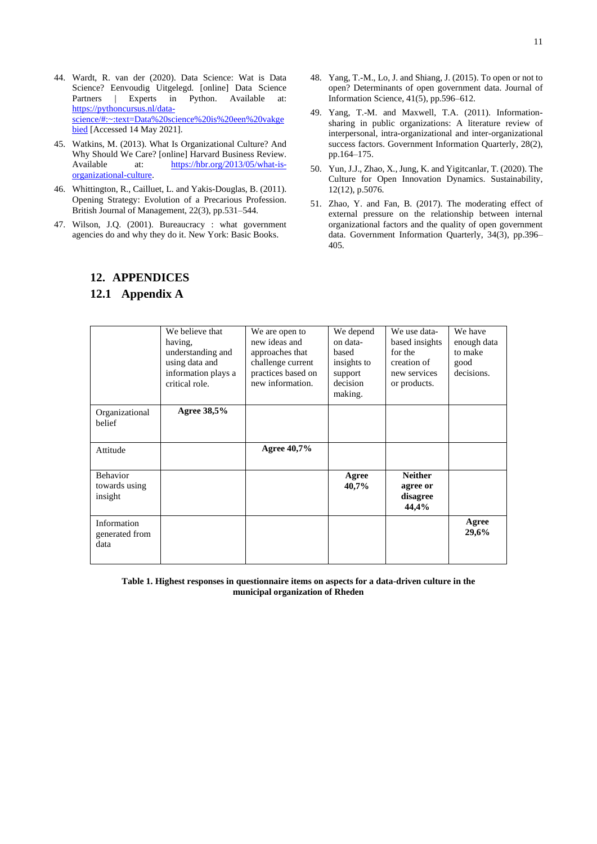- 44. Wardt, R. van der (2020). Data Science: Wat is Data Science? Eenvoudig Uitgelegd. [online] Data Science Partners | Experts in Python. Available at: [https://pythoncursus.nl/data](https://pythoncursus.nl/data-science/#:~:text=Data%20science%20is%20een%20vakgebied)[science/#:~:text=Data%20science%20is%20een%20vakge](https://pythoncursus.nl/data-science/#:~:text=Data%20science%20is%20een%20vakgebied) [bied](https://pythoncursus.nl/data-science/#:~:text=Data%20science%20is%20een%20vakgebied) [Accessed 14 May 2021].
- 45. Watkins, M. (2013). What Is Organizational Culture? And Why Should We Care? [online] Harvard Business Review. Available at: [https://hbr.org/2013/05/what-is](https://hbr.org/2013/05/what-is-organizational-culture)[organizational-culture.](https://hbr.org/2013/05/what-is-organizational-culture)
- 46. Whittington, R., Cailluet, L. and Yakis-Douglas, B. (2011). Opening Strategy: Evolution of a Precarious Profession. British Journal of Management, 22(3), pp.531–544.
- 47. Wilson, J.Q. (2001). Bureaucracy : what government agencies do and why they do it. New York: Basic Books.

# **12. APPENDICES**

# **12.1 Appendix A**

- 48. Yang, T.-M., Lo, J. and Shiang, J. (2015). To open or not to open? Determinants of open government data. Journal of Information Science, 41(5), pp.596–612.
- 49. Yang, T.-M. and Maxwell, T.A. (2011). Informationsharing in public organizations: A literature review of interpersonal, intra-organizational and inter-organizational success factors. Government Information Quarterly, 28(2), pp.164–175.
- 50. Yun, J.J., Zhao, X., Jung, K. and Yigitcanlar, T. (2020). The Culture for Open Innovation Dynamics. Sustainability, 12(12), p.5076.
- 51. Zhao, Y. and Fan, B. (2017). The moderating effect of external pressure on the relationship between internal organizational factors and the quality of open government data. Government Information Quarterly, 34(3), pp.396– 405.

|                                       | We believe that<br>having,<br>understanding and<br>using data and<br>information plays a<br>critical role. | We are open to<br>new ideas and<br>approaches that<br>challenge current<br>practices based on<br>new information. | We depend<br>on data-<br>based<br>insights to<br>support<br>decision<br>making. | We use data-<br>based insights<br>for the<br>creation of<br>new services<br>or products. | We have<br>enough data<br>to make<br>good<br>decisions. |
|---------------------------------------|------------------------------------------------------------------------------------------------------------|-------------------------------------------------------------------------------------------------------------------|---------------------------------------------------------------------------------|------------------------------------------------------------------------------------------|---------------------------------------------------------|
| Organizational<br>belief              | Agree 38,5%                                                                                                |                                                                                                                   |                                                                                 |                                                                                          |                                                         |
| Attitude                              |                                                                                                            | <b>Agree 40,7%</b>                                                                                                |                                                                                 |                                                                                          |                                                         |
| Behavior<br>towards using<br>insight  |                                                                                                            |                                                                                                                   | Agree<br>40,7%                                                                  | <b>Neither</b><br>agree or<br>disagree<br>44,4%                                          |                                                         |
| Information<br>generated from<br>data |                                                                                                            |                                                                                                                   |                                                                                 |                                                                                          | Agree<br>29,6%                                          |

**Table 1. Highest responses in questionnaire items on aspects for a data-driven culture in the municipal organization of Rheden**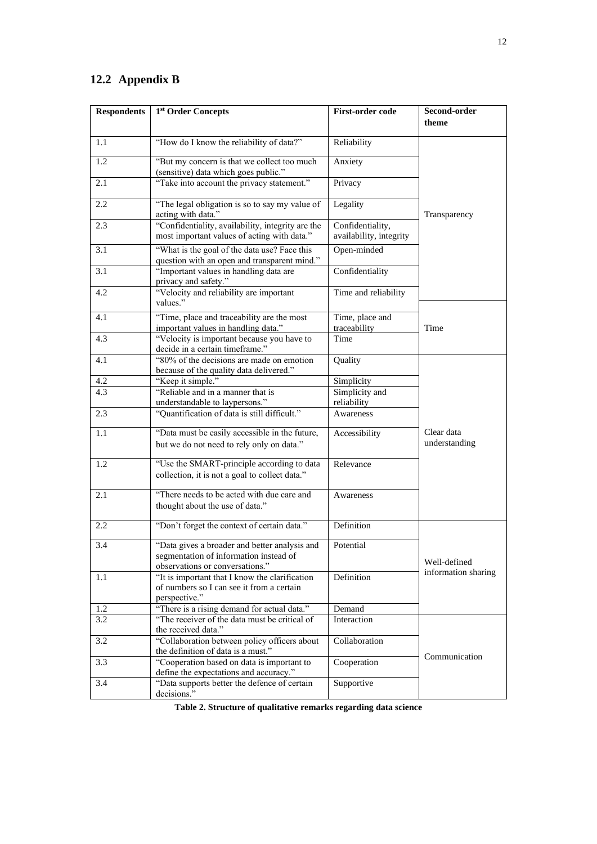# **12.2 Appendix B**

| <b>Respondents</b> | 1st Order Concepts                                                                                                                                                                                                                                                                                                                                                                                          | <b>First-order code</b>         | Second-order<br>theme       |  |
|--------------------|-------------------------------------------------------------------------------------------------------------------------------------------------------------------------------------------------------------------------------------------------------------------------------------------------------------------------------------------------------------------------------------------------------------|---------------------------------|-----------------------------|--|
| 1.1                | "How do I know the reliability of data?"                                                                                                                                                                                                                                                                                                                                                                    | Reliability                     |                             |  |
| 1.2                | "But my concern is that we collect too much<br>(sensitive) data which goes public."                                                                                                                                                                                                                                                                                                                         | Anxiety                         |                             |  |
| 2.1                | "Take into account the privacy statement."<br>Privacy<br>"The legal obligation is so to say my value of<br>Legality<br>acting with data."<br>"Confidentiality, availability, integrity are the<br>Confidentiality,<br>most important values of acting with data."<br>availability, integrity<br>"What is the goal of the data use? Face this<br>Open-minded<br>question with an open and transparent mind." |                                 |                             |  |
| 2.2                |                                                                                                                                                                                                                                                                                                                                                                                                             |                                 | Transparency                |  |
| 2.3                |                                                                                                                                                                                                                                                                                                                                                                                                             |                                 |                             |  |
| 3.1                |                                                                                                                                                                                                                                                                                                                                                                                                             |                                 |                             |  |
| 3.1                | "Important values in handling data are<br>Confidentiality<br>privacy and safety."                                                                                                                                                                                                                                                                                                                           |                                 |                             |  |
| 4.2                | "Velocity and reliability are important<br>values."                                                                                                                                                                                                                                                                                                                                                         | Time and reliability            |                             |  |
| 4.1                | "Time, place and traceability are the most<br>important values in handling data."                                                                                                                                                                                                                                                                                                                           | Time, place and<br>traceability | Time                        |  |
| 4.3                | "Velocity is important because you have to<br>decide in a certain timeframe."                                                                                                                                                                                                                                                                                                                               | Time                            |                             |  |
| 4.1                | "80% of the decisions are made on emotion<br>because of the quality data delivered."                                                                                                                                                                                                                                                                                                                        | Quality                         |                             |  |
| 4.2                | "Keep it simple."                                                                                                                                                                                                                                                                                                                                                                                           | Simplicity                      |                             |  |
| 4.3                | "Reliable and in a manner that is                                                                                                                                                                                                                                                                                                                                                                           | Simplicity and                  |                             |  |
|                    | understandable to laypersons."                                                                                                                                                                                                                                                                                                                                                                              | reliability                     |                             |  |
| 2.3                | "Quantification of data is still difficult."                                                                                                                                                                                                                                                                                                                                                                | Awareness                       |                             |  |
| 1.1                | "Data must be easily accessible in the future,<br>Accessibility<br>but we do not need to rely only on data."                                                                                                                                                                                                                                                                                                |                                 | Clear data<br>understanding |  |
| 1.2                | "Use the SMART-principle according to data<br>Relevance<br>collection, it is not a goal to collect data."                                                                                                                                                                                                                                                                                                   |                                 |                             |  |
| 2.1                | "There needs to be acted with due care and<br>thought about the use of data."                                                                                                                                                                                                                                                                                                                               | Awareness                       |                             |  |
| 2.2                | "Don't forget the context of certain data."                                                                                                                                                                                                                                                                                                                                                                 | Definition                      |                             |  |
| 3.4                | "Data gives a broader and better analysis and<br>Potential<br>segmentation of information instead of<br>observations or conversations."                                                                                                                                                                                                                                                                     |                                 | Well-defined                |  |
| 1.1                | "It is important that I know the clarification<br>of numbers so I can see it from a certain<br>perspective."                                                                                                                                                                                                                                                                                                | Definition                      | information sharing         |  |
| 1.2                | "There is a rising demand for actual data."                                                                                                                                                                                                                                                                                                                                                                 | Demand                          |                             |  |
| 3.2                | "The receiver of the data must be critical of<br>the received data."                                                                                                                                                                                                                                                                                                                                        | Interaction                     |                             |  |
| 3.2                | "Collaboration between policy officers about<br>the definition of data is a must."                                                                                                                                                                                                                                                                                                                          | Collaboration                   |                             |  |
| 3.3                | "Cooperation based on data is important to<br>define the expectations and accuracy."                                                                                                                                                                                                                                                                                                                        | Cooperation                     | Communication               |  |
| 3.4                | "Data supports better the defence of certain<br>decisions."                                                                                                                                                                                                                                                                                                                                                 | Supportive                      |                             |  |

**Table 2. Structure of qualitative remarks regarding data science**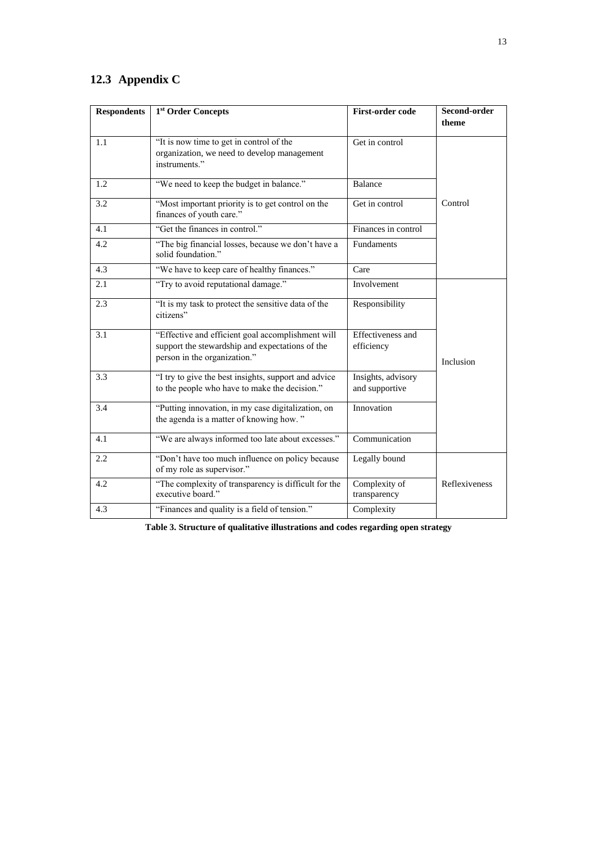# **12.3 Appendix C**

| <b>Respondents</b> | 1 <sup>st</sup> Order Concepts                                                                                                       | <b>First-order code</b>              | Second-order<br>theme |
|--------------------|--------------------------------------------------------------------------------------------------------------------------------------|--------------------------------------|-----------------------|
| 1.1                | "It is now time to get in control of the<br>organization, we need to develop management<br>instruments."                             | Get in control                       |                       |
| 1.2                | "We need to keep the budget in balance."                                                                                             | Balance                              |                       |
| 3.2                | "Most important priority is to get control on the<br>finances of youth care."                                                        | Get in control                       | Control               |
| 4.1                | "Get the finances in control."                                                                                                       | Finances in control                  |                       |
| 4.2                | "The big financial losses, because we don't have a<br>solid foundation."                                                             | Fundaments                           |                       |
| 4.3                | "We have to keep care of healthy finances."                                                                                          | Care                                 |                       |
| 2.1                | "Try to avoid reputational damage."                                                                                                  | Involvement                          |                       |
| 2.3                | "It is my task to protect the sensitive data of the<br>citizens"                                                                     | Responsibility                       |                       |
| 3.1                | "Effective and efficient goal accomplishment will<br>support the stewardship and expectations of the<br>person in the organization." | Effectiveness and<br>efficiency      | Inclusion             |
| 3.3                | "I try to give the best insights, support and advice<br>to the people who have to make the decision."                                | Insights, advisory<br>and supportive |                       |
| 3.4                | "Putting innovation, in my case digitalization, on<br>the agenda is a matter of knowing how."                                        | Innovation                           |                       |
| 4.1                | "We are always informed too late about excesses."                                                                                    | Communication                        |                       |
| 2.2                | "Don't have too much influence on policy because<br>of my role as supervisor."                                                       | Legally bound                        |                       |
| 4.2                | "The complexity of transparency is difficult for the<br>executive board."                                                            | Complexity of<br>transparency        | Reflexiveness         |
| 4.3                | "Finances and quality is a field of tension."                                                                                        | Complexity                           |                       |

**Table 3. Structure of qualitative illustrations and codes regarding open strategy**